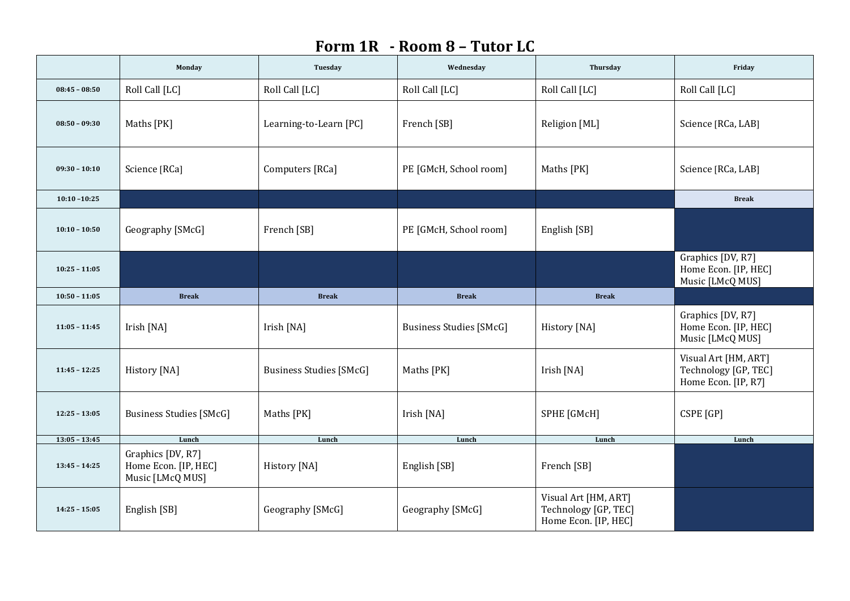## **Form 1R - Room 8 – Tutor LC**

|                 | Monday                                                        | Tuesday                        | Wednesday                      | Thursday                                                             | Friday                                                              |
|-----------------|---------------------------------------------------------------|--------------------------------|--------------------------------|----------------------------------------------------------------------|---------------------------------------------------------------------|
| $08:45 - 08:50$ | Roll Call [LC]                                                | Roll Call [LC]                 | Roll Call [LC]                 | Roll Call [LC]                                                       | Roll Call [LC]                                                      |
| $08:50 - 09:30$ | Maths [PK]                                                    | Learning-to-Learn [PC]         | French [SB]                    | Religion [ML]                                                        | Science [RCa, LAB]                                                  |
| $09:30 - 10:10$ | Science [RCa]                                                 | Computers [RCa]                | PE [GMcH, School room]         | Maths [PK]                                                           | Science [RCa, LAB]                                                  |
| $10:10 - 10:25$ |                                                               |                                |                                |                                                                      | <b>Break</b>                                                        |
| $10:10 - 10:50$ | Geography [SMcG]                                              | French [SB]                    | PE [GMcH, School room]         | English [SB]                                                         |                                                                     |
| $10:25 - 11:05$ |                                                               |                                |                                |                                                                      | Graphics [DV, R7]<br>Home Econ. [IP, HEC]<br>Music [LMcQ MUS]       |
| $10:50 - 11:05$ | <b>Break</b>                                                  | <b>Break</b>                   | <b>Break</b>                   | <b>Break</b>                                                         |                                                                     |
| $11:05 - 11:45$ | Irish [NA]                                                    | Irish [NA]                     | <b>Business Studies [SMcG]</b> | History [NA]                                                         | Graphics [DV, R7]<br>Home Econ. [IP, HEC]<br>Music [LMcQ MUS]       |
| $11:45 - 12:25$ | History [NA]                                                  | <b>Business Studies [SMcG]</b> | Maths [PK]                     | Irish [NA]                                                           | Visual Art [HM, ART]<br>Technology [GP, TEC]<br>Home Econ. [IP, R7] |
| $12:25 - 13:05$ | <b>Business Studies [SMcG]</b>                                | Maths [PK]                     | Irish [NA]                     | SPHE [GMcH]                                                          | CSPE [GP]                                                           |
| $13:05 - 13:45$ | Lunch                                                         | Lunch                          | Lunch                          | Lunch                                                                | Lunch                                                               |
| $13:45 - 14:25$ | Graphics [DV, R7]<br>Home Econ. [IP, HEC]<br>Music [LMcQ MUS] | History [NA]                   | English [SB]                   | French [SB]                                                          |                                                                     |
| $14:25 - 15:05$ | English [SB]                                                  | Geography [SMcG]               | Geography [SMcG]               | Visual Art [HM, ART]<br>Technology [GP, TEC]<br>Home Econ. [IP, HEC] |                                                                     |